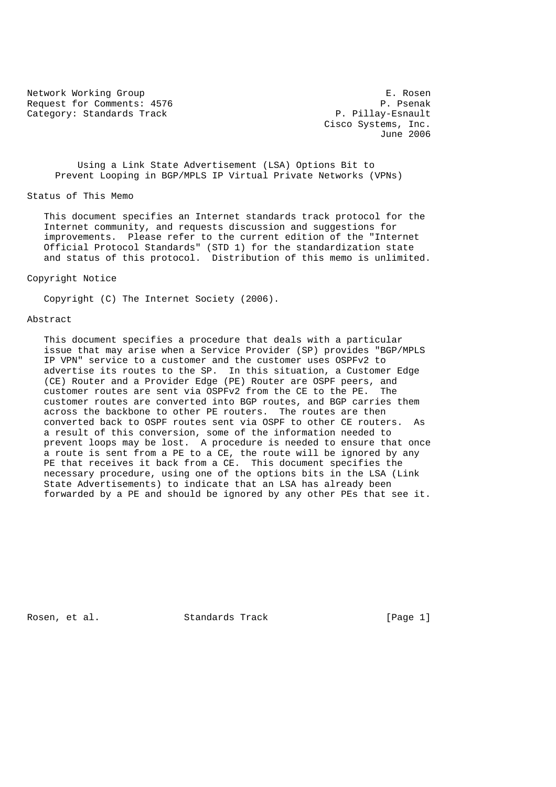Network Working Group<br>Request for Comments: 4576 (1999) P. Psenak Request for Comments: 4576 Category: Standards Track P. Pillay-Esnault

 Cisco Systems, Inc. June 2006

 Using a Link State Advertisement (LSA) Options Bit to Prevent Looping in BGP/MPLS IP Virtual Private Networks (VPNs)

Status of This Memo

 This document specifies an Internet standards track protocol for the Internet community, and requests discussion and suggestions for improvements. Please refer to the current edition of the "Internet Official Protocol Standards" (STD 1) for the standardization state and status of this protocol. Distribution of this memo is unlimited.

Copyright Notice

Copyright (C) The Internet Society (2006).

## Abstract

 This document specifies a procedure that deals with a particular issue that may arise when a Service Provider (SP) provides "BGP/MPLS IP VPN" service to a customer and the customer uses OSPFv2 to advertise its routes to the SP. In this situation, a Customer Edge (CE) Router and a Provider Edge (PE) Router are OSPF peers, and customer routes are sent via OSPFv2 from the CE to the PE. The customer routes are converted into BGP routes, and BGP carries them across the backbone to other PE routers. The routes are then converted back to OSPF routes sent via OSPF to other CE routers. As a result of this conversion, some of the information needed to prevent loops may be lost. A procedure is needed to ensure that once a route is sent from a PE to a CE, the route will be ignored by any PE that receives it back from a CE. This document specifies the necessary procedure, using one of the options bits in the LSA (Link State Advertisements) to indicate that an LSA has already been forwarded by a PE and should be ignored by any other PEs that see it.

Rosen, et al. Standards Track [Page 1]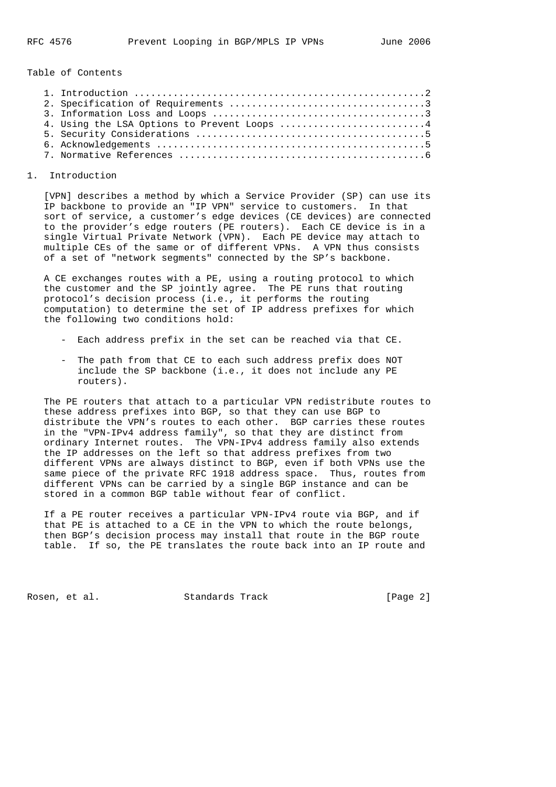Table of Contents

| 4. Using the LSA Options to Prevent Loops 4 |  |
|---------------------------------------------|--|
|                                             |  |
|                                             |  |
|                                             |  |

# 1. Introduction

 [VPN] describes a method by which a Service Provider (SP) can use its IP backbone to provide an "IP VPN" service to customers. In that sort of service, a customer's edge devices (CE devices) are connected to the provider's edge routers (PE routers). Each CE device is in a single Virtual Private Network (VPN). Each PE device may attach to multiple CEs of the same or of different VPNs. A VPN thus consists of a set of "network segments" connected by the SP's backbone.

 A CE exchanges routes with a PE, using a routing protocol to which the customer and the SP jointly agree. The PE runs that routing protocol's decision process (i.e., it performs the routing computation) to determine the set of IP address prefixes for which the following two conditions hold:

- Each address prefix in the set can be reached via that CE.
- The path from that CE to each such address prefix does NOT include the SP backbone (i.e., it does not include any PE routers).

 The PE routers that attach to a particular VPN redistribute routes to these address prefixes into BGP, so that they can use BGP to distribute the VPN's routes to each other. BGP carries these routes in the "VPN-IPv4 address family", so that they are distinct from ordinary Internet routes. The VPN-IPv4 address family also extends the IP addresses on the left so that address prefixes from two different VPNs are always distinct to BGP, even if both VPNs use the same piece of the private RFC 1918 address space. Thus, routes from different VPNs can be carried by a single BGP instance and can be stored in a common BGP table without fear of conflict.

 If a PE router receives a particular VPN-IPv4 route via BGP, and if that PE is attached to a CE in the VPN to which the route belongs, then BGP's decision process may install that route in the BGP route table. If so, the PE translates the route back into an IP route and

Rosen, et al. Standards Track [Page 2]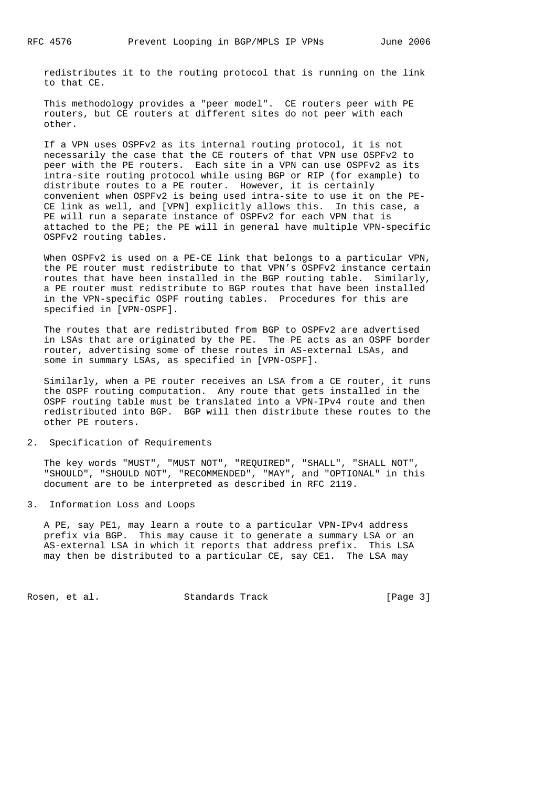redistributes it to the routing protocol that is running on the link to that CE.

 This methodology provides a "peer model". CE routers peer with PE routers, but CE routers at different sites do not peer with each other.

 If a VPN uses OSPFv2 as its internal routing protocol, it is not necessarily the case that the CE routers of that VPN use OSPFv2 to peer with the PE routers. Each site in a VPN can use OSPFv2 as its intra-site routing protocol while using BGP or RIP (for example) to distribute routes to a PE router. However, it is certainly convenient when OSPFv2 is being used intra-site to use it on the PE- CE link as well, and [VPN] explicitly allows this. In this case, a PE will run a separate instance of OSPFv2 for each VPN that is attached to the PE; the PE will in general have multiple VPN-specific OSPFv2 routing tables.

 When OSPFv2 is used on a PE-CE link that belongs to a particular VPN, the PE router must redistribute to that VPN's OSPFv2 instance certain routes that have been installed in the BGP routing table. Similarly, a PE router must redistribute to BGP routes that have been installed in the VPN-specific OSPF routing tables. Procedures for this are specified in [VPN-OSPF].

 The routes that are redistributed from BGP to OSPFv2 are advertised in LSAs that are originated by the PE. The PE acts as an OSPF border router, advertising some of these routes in AS-external LSAs, and some in summary LSAs, as specified in [VPN-OSPF].

 Similarly, when a PE router receives an LSA from a CE router, it runs the OSPF routing computation. Any route that gets installed in the OSPF routing table must be translated into a VPN-IPv4 route and then redistributed into BGP. BGP will then distribute these routes to the other PE routers.

## 2. Specification of Requirements

 The key words "MUST", "MUST NOT", "REQUIRED", "SHALL", "SHALL NOT", "SHOULD", "SHOULD NOT", "RECOMMENDED", "MAY", and "OPTIONAL" in this document are to be interpreted as described in RFC 2119.

# 3. Information Loss and Loops

 A PE, say PE1, may learn a route to a particular VPN-IPv4 address prefix via BGP. This may cause it to generate a summary LSA or an AS-external LSA in which it reports that address prefix. This LSA may then be distributed to a particular CE, say CE1. The LSA may

Rosen, et al. Standards Track [Page 3]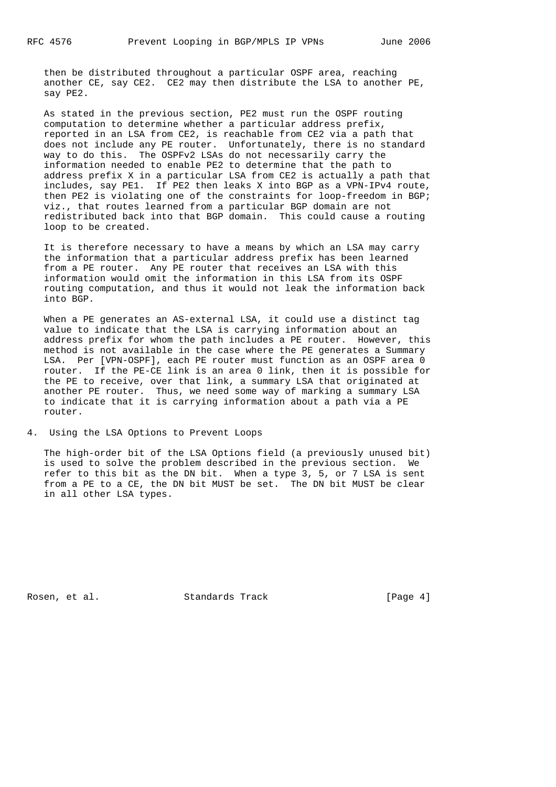then be distributed throughout a particular OSPF area, reaching another CE, say CE2. CE2 may then distribute the LSA to another PE, say PE2.

 As stated in the previous section, PE2 must run the OSPF routing computation to determine whether a particular address prefix, reported in an LSA from CE2, is reachable from CE2 via a path that does not include any PE router. Unfortunately, there is no standard way to do this. The OSPFv2 LSAs do not necessarily carry the information needed to enable PE2 to determine that the path to address prefix X in a particular LSA from CE2 is actually a path that includes, say PE1. If PE2 then leaks X into BGP as a VPN-IPv4 route, then PE2 is violating one of the constraints for loop-freedom in BGP; viz., that routes learned from a particular BGP domain are not redistributed back into that BGP domain. This could cause a routing loop to be created.

 It is therefore necessary to have a means by which an LSA may carry the information that a particular address prefix has been learned from a PE router. Any PE router that receives an LSA with this information would omit the information in this LSA from its OSPF routing computation, and thus it would not leak the information back into BGP.

 When a PE generates an AS-external LSA, it could use a distinct tag value to indicate that the LSA is carrying information about an address prefix for whom the path includes a PE router. However, this method is not available in the case where the PE generates a Summary LSA. Per [VPN-OSPF], each PE router must function as an OSPF area 0 router. If the PE-CE link is an area 0 link, then it is possible for the PE to receive, over that link, a summary LSA that originated at another PE router. Thus, we need some way of marking a summary LSA to indicate that it is carrying information about a path via a PE router.

4. Using the LSA Options to Prevent Loops

 The high-order bit of the LSA Options field (a previously unused bit) is used to solve the problem described in the previous section. We refer to this bit as the DN bit. When a type 3, 5, or 7 LSA is sent from a PE to a CE, the DN bit MUST be set. The DN bit MUST be clear in all other LSA types.

Rosen, et al. Standards Track [Page 4]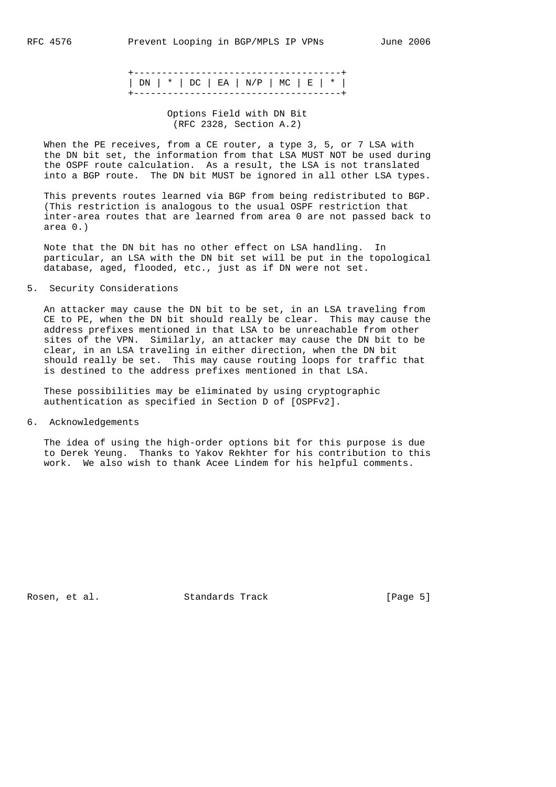|  |  | $ DN $ *   DC   EA   N/P   MC   E   * |  |  |
|--|--|---------------------------------------|--|--|
|  |  |                                       |  |  |

# Options Field with DN Bit (RFC 2328, Section A.2)

When the PE receives, from a CE router, a type 3, 5, or 7 LSA with the DN bit set, the information from that LSA MUST NOT be used during the OSPF route calculation. As a result, the LSA is not translated into a BGP route. The DN bit MUST be ignored in all other LSA types.

 This prevents routes learned via BGP from being redistributed to BGP. (This restriction is analogous to the usual OSPF restriction that inter-area routes that are learned from area 0 are not passed back to area 0.)

 Note that the DN bit has no other effect on LSA handling. In particular, an LSA with the DN bit set will be put in the topological database, aged, flooded, etc., just as if DN were not set.

5. Security Considerations

 An attacker may cause the DN bit to be set, in an LSA traveling from CE to PE, when the DN bit should really be clear. This may cause the address prefixes mentioned in that LSA to be unreachable from other sites of the VPN. Similarly, an attacker may cause the DN bit to be clear, in an LSA traveling in either direction, when the DN bit should really be set. This may cause routing loops for traffic that is destined to the address prefixes mentioned in that LSA.

 These possibilities may be eliminated by using cryptographic authentication as specified in Section D of [OSPFv2].

6. Acknowledgements

 The idea of using the high-order options bit for this purpose is due to Derek Yeung. Thanks to Yakov Rekhter for his contribution to this work. We also wish to thank Acee Lindem for his helpful comments.

Rosen, et al. Standards Track [Page 5]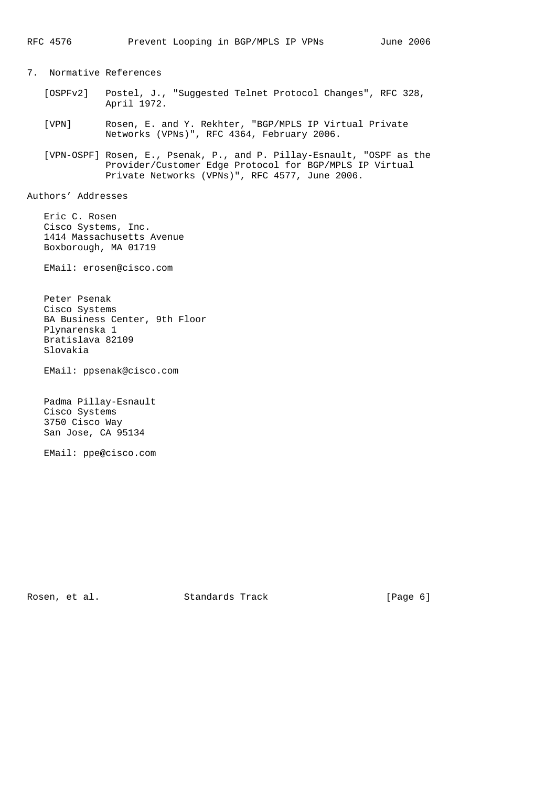7. Normative References

- [OSPFv2] Postel, J., "Suggested Telnet Protocol Changes", RFC 328, April 1972.
- [VPN] Rosen, E. and Y. Rekhter, "BGP/MPLS IP Virtual Private Networks (VPNs)", RFC 4364, February 2006.
- [VPN-OSPF] Rosen, E., Psenak, P., and P. Pillay-Esnault, "OSPF as the Provider/Customer Edge Protocol for BGP/MPLS IP Virtual Private Networks (VPNs)", RFC 4577, June 2006.

Authors' Addresses

 Eric C. Rosen Cisco Systems, Inc. 1414 Massachusetts Avenue Boxborough, MA 01719

EMail: erosen@cisco.com

 Peter Psenak Cisco Systems BA Business Center, 9th Floor Plynarenska 1 Bratislava 82109 Slovakia

EMail: ppsenak@cisco.com

 Padma Pillay-Esnault Cisco Systems 3750 Cisco Way San Jose, CA 95134

EMail: ppe@cisco.com

Rosen, et al. Standards Track [Page 6]